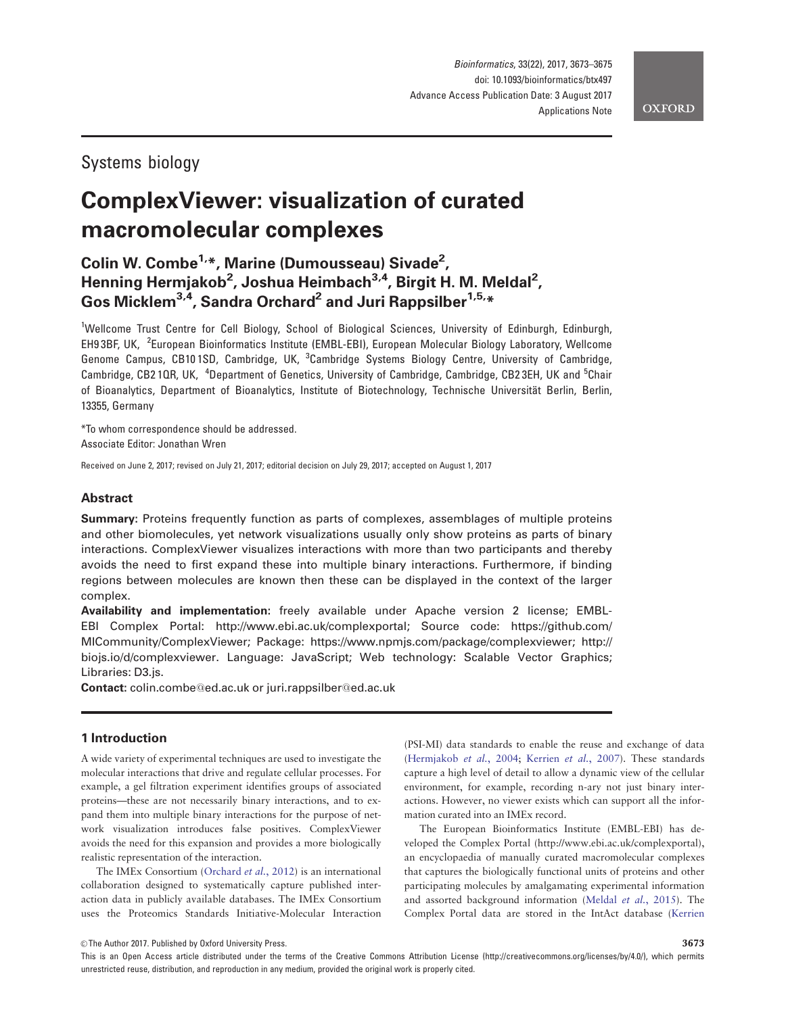# Systems biology

# ComplexViewer: visualization of curated macromolecular complexes

## Colin W. Combe<sup>1,</sup>\*, Marine (Dumousseau) Sivade<sup>2</sup>, Henning Hermjakob<sup>2</sup>, Joshua Heimbach<sup>3,4</sup>, Birgit H. M. Meldal<sup>2</sup>, Gos Micklem<sup>3,4</sup>, Sandra Orchard<sup>2</sup> and Juri Rappsilber<sup>1,5,\*</sup>

<sup>1</sup>Wellcome Trust Centre for Cell Biology, School of Biological Sciences, University of Edinburgh, Edinburgh, EH9 3BF, UK, <sup>2</sup>European Bioinformatics Institute (EMBL-EBI), European Molecular Biology Laboratory, Wellcome Genome Campus, CB101SD, Cambridge, UK, <sup>3</sup>Cambridge Systems Biology Centre, University of Cambridge, Cambridge, CB21QR, UK, <sup>4</sup>Department of Genetics, University of Cambridge, Cambridge, CB23EH, UK and <sup>5</sup>Chair of Bioanalytics, Department of Bioanalytics, Institute of Biotechnology, Technische Universität Berlin, Berlin, 13355, Germany

\*To whom correspondence should be addressed. Associate Editor: Jonathan Wren

Received on June 2, 2017; revised on July 21, 2017; editorial decision on July 29, 2017; accepted on August 1, 2017

## Abstract

Summary: Proteins frequently function as parts of complexes, assemblages of multiple proteins and other biomolecules, yet network visualizations usually only show proteins as parts of binary interactions. ComplexViewer visualizes interactions with more than two participants and thereby avoids the need to first expand these into multiple binary interactions. Furthermore, if binding regions between molecules are known then these can be displayed in the context of the larger complex.

Availability and implementation: freely available under Apache version 2 license; EMBL-EBI Complex Portal:<http://www.ebi.ac.uk/complexportal>; Source code: [https://github.com/](https://github.com/MICommunity/ComplexViewer) [MICommunity/ComplexViewer;](https://github.com/MICommunity/ComplexViewer) Package:<https://www.npmjs.com/package/complexviewer>; [http://](http://biojs.io/d/complexviewer) [biojs.io/d/complexviewer](http://biojs.io/d/complexviewer). Language: JavaScript; Web technology: Scalable Vector Graphics; Libraries: D3.js.

Contact: colin.combe@ed.ac.uk or juri.rappsilber@ed.ac.uk

## 1 Introduction

A wide variety of experimental techniques are used to investigate the molecular interactions that drive and regulate cellular processes. For example, a gel filtration experiment identifies groups of associated proteins—these are not necessarily binary interactions, and to expand them into multiple binary interactions for the purpose of network visualization introduces false positives. ComplexViewer avoids the need for this expansion and provides a more biologically realistic representation of the interaction.

The IMEx Consortium ([Orchard](#page-2-0) et al., 2012) is an international collaboration designed to systematically capture published interaction data in publicly available databases. The IMEx Consortium uses the Proteomics Standards Initiative-Molecular Interaction

(PSI-MI) data standards to enable the reuse and exchange of data ([Hermjakob](#page-2-0) et al., 2004; [Kerrien](#page-2-0) et al., 2007). These standards capture a high level of detail to allow a dynamic view of the cellular environment, for example, recording n-ary not just binary interactions. However, no viewer exists which can support all the information curated into an IMEx record.

The European Bioinformatics Institute (EMBL-EBI) has developed the Complex Portal [\(http://www.ebi.ac.uk/complexportal](http://www.ebi.ac.uk/complexportal)), an encyclopaedia of manually curated macromolecular complexes that captures the biologically functional units of proteins and other participating molecules by amalgamating experimental information and assorted background information [\(Meldal](#page-2-0) et al., 2015). The Complex Portal data are stored in the IntAct database [\(Kerrien](#page-2-0)

 $\circledR$  The Author 2017. Published by Oxford University Press.  $3673$ 

This is an Open Access article distributed under the terms of the Creative Commons Attribution License (http://creativecommons.org/licenses/by/4.0/), which permits unrestricted reuse, distribution, and reproduction in any medium, provided the original work is properly cited.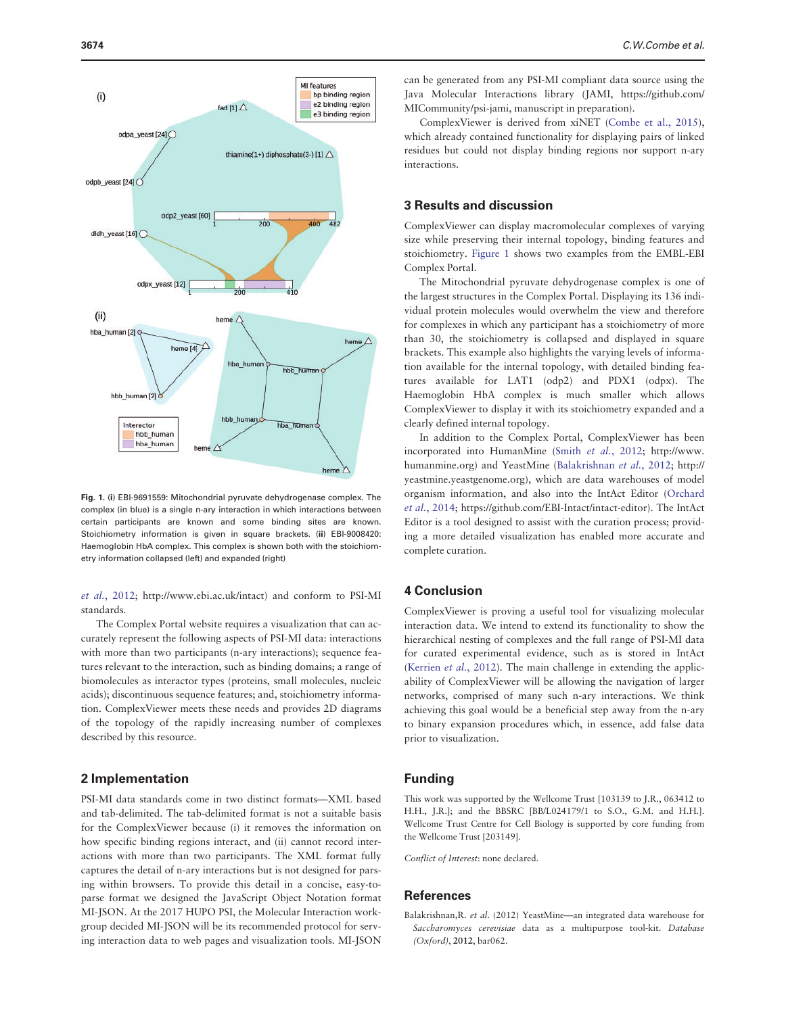

Fig. 1. (i) EBI-9691559: Mitochondrial pyruvate dehydrogenase complex. The complex (in blue) is a single n-ary interaction in which interactions between certain participants are known and some binding sites are known. Stoichiometry information is given in square brackets. (ii) EBI-9008420: Haemoglobin HbA complex. This complex is shown both with the stoichiometry information collapsed (left) and expanded (right)

et al.[, 2012](#page-2-0); [http://www.ebi.ac.uk/intact\)](http://www.ebi.ac.uk/intact) and conform to PSI-MI standards.

The Complex Portal website requires a visualization that can accurately represent the following aspects of PSI-MI data: interactions with more than two participants (n-ary interactions); sequence features relevant to the interaction, such as binding domains; a range of biomolecules as interactor types (proteins, small molecules, nucleic acids); discontinuous sequence features; and, stoichiometry information. ComplexViewer meets these needs and provides 2D diagrams of the topology of the rapidly increasing number of complexes described by this resource.

#### 2 Implementation

PSI-MI data standards come in two distinct formats—XML based and tab-delimited. The tab-delimited format is not a suitable basis for the ComplexViewer because (i) it removes the information on how specific binding regions interact, and (ii) cannot record interactions with more than two participants. The XML format fully captures the detail of n-ary interactions but is not designed for parsing within browsers. To provide this detail in a concise, easy-toparse format we designed the JavaScript Object Notation format MI-JSON. At the 2017 HUPO PSI, the Molecular Interaction workgroup decided MI-JSON will be its recommended protocol for serving interaction data to web pages and visualization tools. MI-JSON can be generated from any PSI-MI compliant data source using the Java Molecular Interactions library (JAMI, [https://github.com/](https://github.com/MICommunity/psi-jami) [MICommunity/psi-jami,](https://github.com/MICommunity/psi-jami) manuscript in preparation).

ComplexViewer is derived from xiNET [\(Combe et al., 2015](#page-2-0)), which already contained functionality for displaying pairs of linked residues but could not display binding regions nor support n-ary interactions.

#### 3 Results and discussion

ComplexViewer can display macromolecular complexes of varying size while preserving their internal topology, binding features and stoichiometry. Figure 1 shows two examples from the EMBL-EBI Complex Portal.

The Mitochondrial pyruvate dehydrogenase complex is one of the largest structures in the Complex Portal. Displaying its 136 individual protein molecules would overwhelm the view and therefore for complexes in which any participant has a stoichiometry of more than 30, the stoichiometry is collapsed and displayed in square brackets. This example also highlights the varying levels of information available for the internal topology, with detailed binding features available for LAT1 (odp2) and PDX1 (odpx). The Haemoglobin HbA complex is much smaller which allows ComplexViewer to display it with its stoichiometry expanded and a clearly defined internal topology.

In addition to the Complex Portal, ComplexViewer has been incorporated into HumanMine (Smith et al.[, 2012;](#page-2-0) [http://www.](http://www.humanmine.org) [humanmine.org\)](http://www.humanmine.org) and YeastMine (Balakrishnan et al., 2012; [http://](http://yeastmine.yeastgenome.org) [yeastmine.yeastgenome.org](http://yeastmine.yeastgenome.org)), which are data warehouses of model organism information, and also into the IntAct Editor ([Orchard](#page-2-0) et al.[, 2014;](#page-2-0)<https://github.com/EBI-Intact/intact-editor>). The IntAct Editor is a tool designed to assist with the curation process; providing a more detailed visualization has enabled more accurate and complete curation.

#### 4 Conclusion

ComplexViewer is proving a useful tool for visualizing molecular interaction data. We intend to extend its functionality to show the hierarchical nesting of complexes and the full range of PSI-MI data for curated experimental evidence, such as is stored in IntAct ([Kerrien](#page-2-0) et al., 2012). The main challenge in extending the applicability of ComplexViewer will be allowing the navigation of larger networks, comprised of many such n-ary interactions. We think achieving this goal would be a beneficial step away from the n-ary to binary expansion procedures which, in essence, add false data prior to visualization.

#### Funding

This work was supported by the Wellcome Trust [103139 to J.R., 063412 to H.H., J.R.]; and the BBSRC [BB/L024179/1 to S.O., G.M. and H.H.]. Wellcome Trust Centre for Cell Biology is supported by core funding from the Wellcome Trust [203149].

Conflict of Interest: none declared.

#### **References**

Balakrishnan,R. et al. (2012) YeastMine—an integrated data warehouse for Saccharomyces cerevisiae data as a multipurpose tool-kit. Database (Oxford), 2012, bar062.